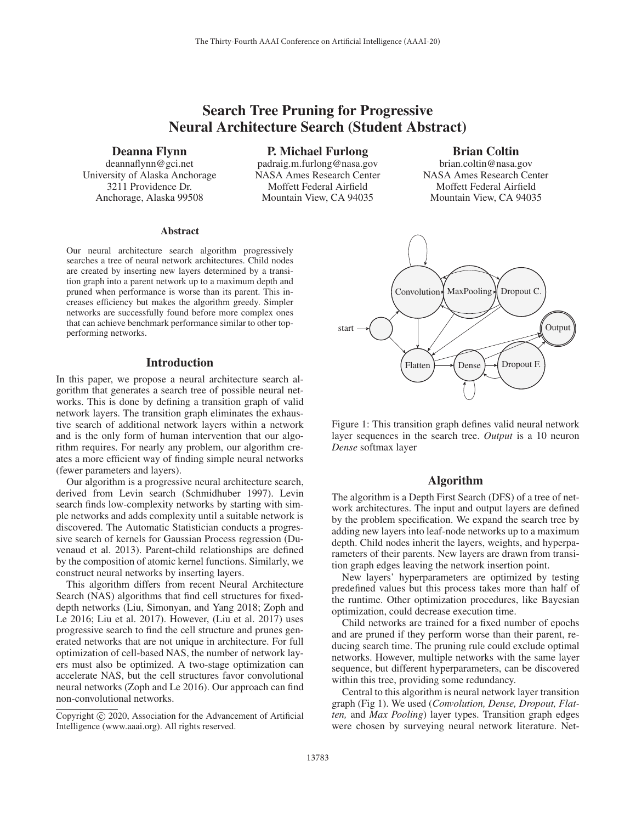# Search Tree Pruning for Progressive Neural Architecture Search (Student Abstract)

Deanna Flynn

deannaflynn@gci.net University of Alaska Anchorage 3211 Providence Dr. Anchorage, Alaska 99508

P. Michael Furlong padraig.m.furlong@nasa.gov

NASA Ames Research Center Moffett Federal Airfield Mountain View, CA 94035

## Brian Coltin

brian.coltin@nasa.gov NASA Ames Research Center Moffett Federal Airfield Mountain View, CA 94035

#### Abstract

Our neural architecture search algorithm progressively searches a tree of neural network architectures. Child nodes are created by inserting new layers determined by a transition graph into a parent network up to a maximum depth and pruned when performance is worse than its parent. This increases efficiency but makes the algorithm greedy. Simpler networks are successfully found before more complex ones that can achieve benchmark performance similar to other topperforming networks.

### **Introduction**

In this paper, we propose a neural architecture search algorithm that generates a search tree of possible neural networks. This is done by defining a transition graph of valid network layers. The transition graph eliminates the exhaustive search of additional network layers within a network and is the only form of human intervention that our algorithm requires. For nearly any problem, our algorithm creates a more efficient way of finding simple neural networks (fewer parameters and layers).

Our algorithm is a progressive neural architecture search, derived from Levin search (Schmidhuber 1997). Levin search finds low-complexity networks by starting with simple networks and adds complexity until a suitable network is discovered. The Automatic Statistician conducts a progressive search of kernels for Gaussian Process regression (Duvenaud et al. 2013). Parent-child relationships are defined by the composition of atomic kernel functions. Similarly, we construct neural networks by inserting layers.

This algorithm differs from recent Neural Architecture Search (NAS) algorithms that find cell structures for fixeddepth networks (Liu, Simonyan, and Yang 2018; Zoph and Le 2016; Liu et al. 2017). However, (Liu et al. 2017) uses progressive search to find the cell structure and prunes generated networks that are not unique in architecture. For full optimization of cell-based NAS, the number of network layers must also be optimized. A two-stage optimization can accelerate NAS, but the cell structures favor convolutional neural networks (Zoph and Le 2016). Our approach can find non-convolutional networks.



Figure 1: This transition graph defines valid neural network layer sequences in the search tree. *Output* is a 10 neuron *Dense* softmax layer

#### Algorithm

The algorithm is a Depth First Search (DFS) of a tree of network architectures. The input and output layers are defined by the problem specification. We expand the search tree by adding new layers into leaf-node networks up to a maximum depth. Child nodes inherit the layers, weights, and hyperparameters of their parents. New layers are drawn from transition graph edges leaving the network insertion point.

New layers' hyperparameters are optimized by testing predefined values but this process takes more than half of the runtime. Other optimization procedures, like Bayesian optimization, could decrease execution time.

Child networks are trained for a fixed number of epochs and are pruned if they perform worse than their parent, reducing search time. The pruning rule could exclude optimal networks. However, multiple networks with the same layer sequence, but different hyperparameters, can be discovered within this tree, providing some redundancy.

Central to this algorithm is neural network layer transition graph (Fig 1). We used (*Convolution, Dense, Dropout, Flatten,* and *Max Pooling*) layer types. Transition graph edges were chosen by surveying neural network literature. Net-

Copyright  $\odot$  2020, Association for the Advancement of Artificial Intelligence (www.aaai.org). All rights reserved.